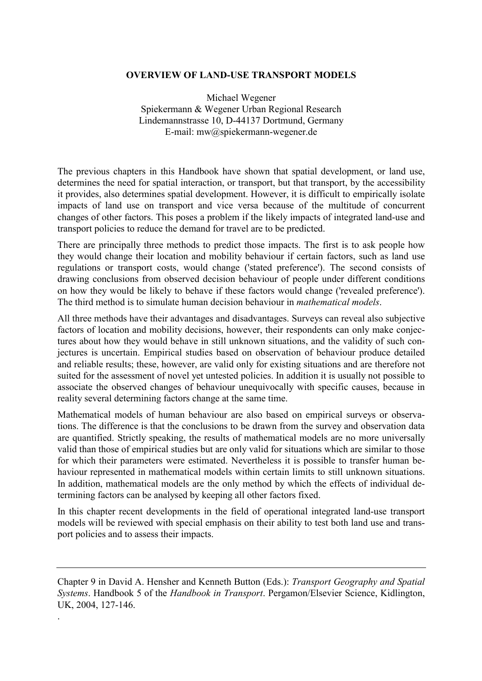### **OVERVIEW OF LAND-USE TRANSPORT MODELS**

Michael Wegener Spiekermann & Wegener Urban Regional Research Lindemannstrasse 10, D-44137 Dortmund, Germany E-mail: mw@spiekermann-wegener.de

The previous chapters in this Handbook have shown that spatial development, or land use, determines the need for spatial interaction, or transport, but that transport, by the accessibility it provides, also determines spatial development. However, it is difficult to empirically isolate impacts of land use on transport and vice versa because of the multitude of concurrent changes of other factors. This poses a problem if the likely impacts of integrated land-use and transport policies to reduce the demand for travel are to be predicted.

There are principally three methods to predict those impacts. The first is to ask people how they would change their location and mobility behaviour if certain factors, such as land use regulations or transport costs, would change ('stated preference'). The second consists of drawing conclusions from observed decision behaviour of people under different conditions on how they would be likely to behave if these factors would change ('revealed preference'). The third method is to simulate human decision behaviour in *mathematical models*.

All three methods have their advantages and disadvantages. Surveys can reveal also subjective factors of location and mobility decisions, however, their respondents can only make conjectures about how they would behave in still unknown situations, and the validity of such conjectures is uncertain. Empirical studies based on observation of behaviour produce detailed and reliable results; these, however, are valid only for existing situations and are therefore not suited for the assessment of novel yet untested policies. In addition it is usually not possible to associate the observed changes of behaviour unequivocally with specific causes, because in reality several determining factors change at the same time.

Mathematical models of human behaviour are also based on empirical surveys or observations. The difference is that the conclusions to be drawn from the survey and observation data are quantified. Strictly speaking, the results of mathematical models are no more universally valid than those of empirical studies but are only valid for situations which are similar to those for which their parameters were estimated. Nevertheless it is possible to transfer human behaviour represented in mathematical models within certain limits to still unknown situations. In addition, mathematical models are the only method by which the effects of individual determining factors can be analysed by keeping all other factors fixed.

In this chapter recent developments in the field of operational integrated land-use transport models will be reviewed with special emphasis on their ability to test both land use and transport policies and to assess their impacts.

Chapter 9 in David A. Hensher and Kenneth Button (Eds.): *Transport Geography and Spatial Systems*. Handbook 5 of the *Handbook in Transport*. Pergamon/Elsevier Science, Kidlington, UK, 2004, 127-146.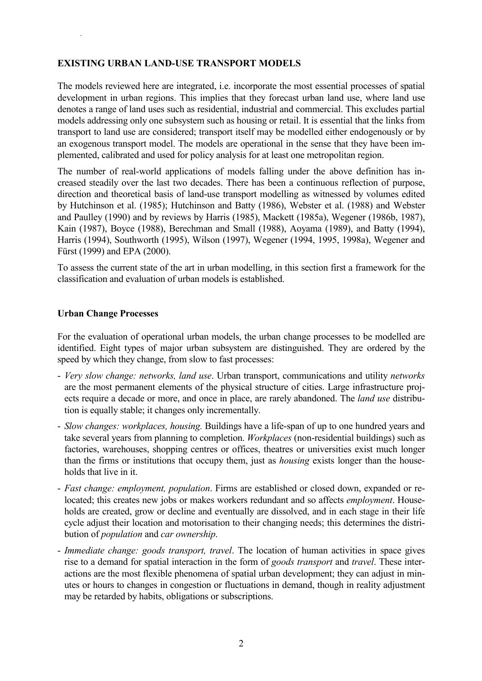## **EXISTING URBAN LAND-USE TRANSPORT MODELS**

The models reviewed here are integrated, i.e. incorporate the most essential processes of spatial development in urban regions. This implies that they forecast urban land use, where land use denotes a range of land uses such as residential, industrial and commercial. This excludes partial models addressing only one subsystem such as housing or retail. It is essential that the links from transport to land use are considered; transport itself may be modelled either endogenously or by an exogenous transport model. The models are operational in the sense that they have been implemented, calibrated and used for policy analysis for at least one metropolitan region.

The number of real-world applications of models falling under the above definition has increased steadily over the last two decades. There has been a continuous reflection of purpose, direction and theoretical basis of land-use transport modelling as witnessed by volumes edited by Hutchinson et al. (1985); Hutchinson and Batty (1986), Webster et al. (1988) and Webster and Paulley (1990) and by reviews by Harris (1985), Mackett (1985a), Wegener (1986b, 1987), Kain (1987), Boyce (1988), Berechman and Small (1988), Aoyama (1989), and Batty (1994), Harris (1994), Southworth (1995), Wilson (1997), Wegener (1994, 1995, 1998a), Wegener and Fürst (1999) and EPA (2000).

To assess the current state of the art in urban modelling, in this section first a framework for the classification and evaluation of urban models is established.

## **Urban Change Processes**

*.*

For the evaluation of operational urban models, the urban change processes to be modelled are identified. Eight types of major urban subsystem are distinguished. They are ordered by the speed by which they change, from slow to fast processes:

- *Very slow change: networks, land use*. Urban transport, communications and utility *networks* are the most permanent elements of the physical structure of cities. Large infrastructure projects require a decade or more, and once in place, are rarely abandoned. The *land use* distribution is equally stable; it changes only incrementally.
- *Slow changes: workplaces, housing.* Buildings have a life-span of up to one hundred years and take several years from planning to completion. *Workplaces* (non-residential buildings) such as factories, warehouses, shopping centres or offices, theatres or universities exist much longer than the firms or institutions that occupy them, just as *housing* exists longer than the households that live in it.
- *Fast change: employment, population*. Firms are established or closed down, expanded or relocated; this creates new jobs or makes workers redundant and so affects *employment*. Households are created, grow or decline and eventually are dissolved, and in each stage in their life cycle adjust their location and motorisation to their changing needs; this determines the distribution of *population* and *car ownership*.
- *Immediate change: goods transport, travel*. The location of human activities in space gives rise to a demand for spatial interaction in the form of *goods transport* and *travel*. These interactions are the most flexible phenomena of spatial urban development; they can adjust in minutes or hours to changes in congestion or fluctuations in demand, though in reality adjustment may be retarded by habits, obligations or subscriptions.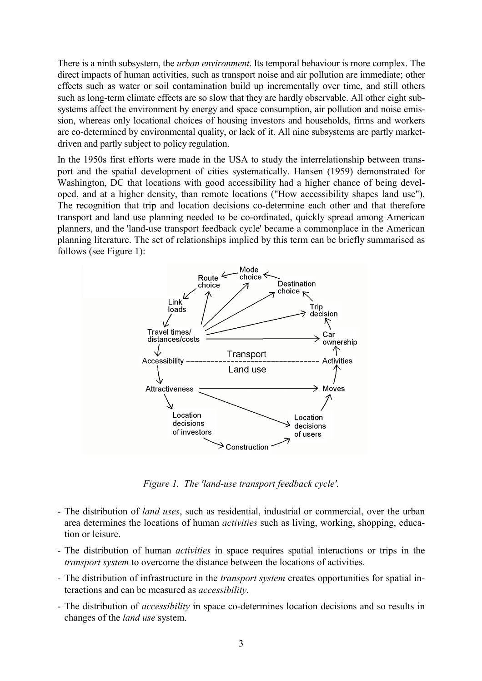There is a ninth subsystem, the *urban environment*. Its temporal behaviour is more complex. The direct impacts of human activities, such as transport noise and air pollution are immediate; other effects such as water or soil contamination build up incrementally over time, and still others such as long-term climate effects are so slow that they are hardly observable. All other eight subsystems affect the environment by energy and space consumption, air pollution and noise emission, whereas only locational choices of housing investors and households, firms and workers are co-determined by environmental quality, or lack of it. All nine subsystems are partly marketdriven and partly subject to policy regulation.

In the 1950s first efforts were made in the USA to study the interrelationship between transport and the spatial development of cities systematically. Hansen (1959) demonstrated for Washington, DC that locations with good accessibility had a higher chance of being developed, and at a higher density, than remote locations ("How accessibility shapes land use"). The recognition that trip and location decisions co-determine each other and that therefore transport and land use planning needed to be co-ordinated, quickly spread among American planners, and the 'land-use transport feedback cycle' became a commonplace in the American planning literature. The set of relationships implied by this term can be briefly summarised as follows (see Figure 1):



*Figure 1. The 'land-use transport feedback cycle'.*

- The distribution of *land uses*, such as residential, industrial or commercial, over the urban area determines the locations of human *activities* such as living, working, shopping, education or leisure.
- The distribution of human *activities* in space requires spatial interactions or trips in the *transport system* to overcome the distance between the locations of activities.
- The distribution of infrastructure in the *transport system* creates opportunities for spatial interactions and can be measured as *accessibility*.
- The distribution of *accessibility* in space co-determines location decisions and so results in changes of the *land use* system.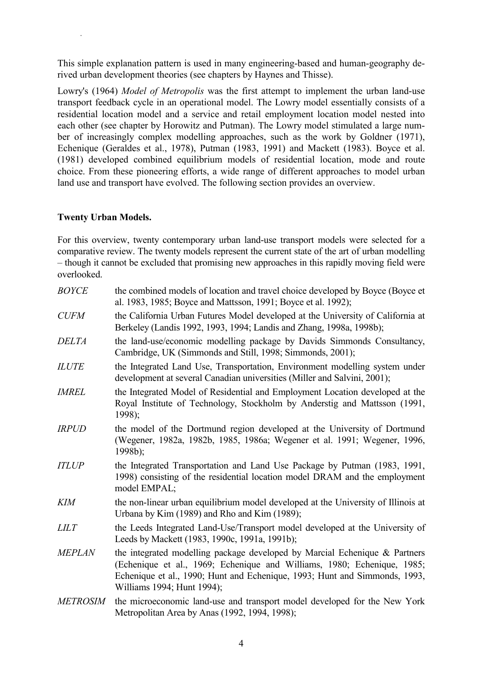This simple explanation pattern is used in many engineering-based and human-geography derived urban development theories (see chapters by Haynes and Thisse).

Lowry's (1964) *Model of Metropolis* was the first attempt to implement the urban land-use transport feedback cycle in an operational model. The Lowry model essentially consists of a residential location model and a service and retail employment location model nested into each other (see chapter by Horowitz and Putman). The Lowry model stimulated a large number of increasingly complex modelling approaches, such as the work by Goldner (1971), Echenique (Geraldes et al., 1978), Putman (1983, 1991) and Mackett (1983). Boyce et al. (1981) developed combined equilibrium models of residential location, mode and route choice. From these pioneering efforts, a wide range of different approaches to model urban land use and transport have evolved. The following section provides an overview.

## **Twenty Urban Models.**

*.*

For this overview, twenty contemporary urban land-use transport models were selected for a comparative review. The twenty models represent the current state of the art of urban modelling – though it cannot be excluded that promising new approaches in this rapidly moving field were overlooked.

| <b>BOYCE</b>    | the combined models of location and travel choice developed by Boyce (Boyce et<br>al. 1983, 1985; Boyce and Mattsson, 1991; Boyce et al. 1992);                                                                                                                   |
|-----------------|-------------------------------------------------------------------------------------------------------------------------------------------------------------------------------------------------------------------------------------------------------------------|
| <b>CUFM</b>     | the California Urban Futures Model developed at the University of California at<br>Berkeley (Landis 1992, 1993, 1994; Landis and Zhang, 1998a, 1998b);                                                                                                            |
| <b>DELTA</b>    | the land-use/economic modelling package by Davids Simmonds Consultancy,<br>Cambridge, UK (Simmonds and Still, 1998; Simmonds, 2001);                                                                                                                              |
| <b>ILUTE</b>    | the Integrated Land Use, Transportation, Environment modelling system under<br>development at several Canadian universities (Miller and Salvini, 2001);                                                                                                           |
| <b>IMREL</b>    | the Integrated Model of Residential and Employment Location developed at the<br>Royal Institute of Technology, Stockholm by Anderstig and Mattsson (1991,<br>1998);                                                                                               |
| <b>IRPUD</b>    | the model of the Dortmund region developed at the University of Dortmund<br>(Wegener, 1982a, 1982b, 1985, 1986a; Wegener et al. 1991; Wegener, 1996,<br>$1998b$ ;                                                                                                 |
| <b>ITLUP</b>    | the Integrated Transportation and Land Use Package by Putman (1983, 1991,<br>1998) consisting of the residential location model DRAM and the employment<br>model EMPAL;                                                                                           |
| <b>KIM</b>      | the non-linear urban equilibrium model developed at the University of Illinois at<br>Urbana by Kim (1989) and Rho and Kim (1989);                                                                                                                                 |
| <b>LILT</b>     | the Leeds Integrated Land-Use/Transport model developed at the University of<br>Leeds by Mackett (1983, 1990c, 1991a, 1991b);                                                                                                                                     |
| <b>MEPLAN</b>   | the integrated modelling package developed by Marcial Echenique & Partners<br>(Echenique et al., 1969; Echenique and Williams, 1980; Echenique, 1985;<br>Echenique et al., 1990; Hunt and Echenique, 1993; Hunt and Simmonds, 1993,<br>Williams 1994; Hunt 1994); |
| <b>METROSIM</b> | the microeconomic land-use and transport model developed for the New York<br>Metropolitan Area by Anas (1992, 1994, 1998);                                                                                                                                        |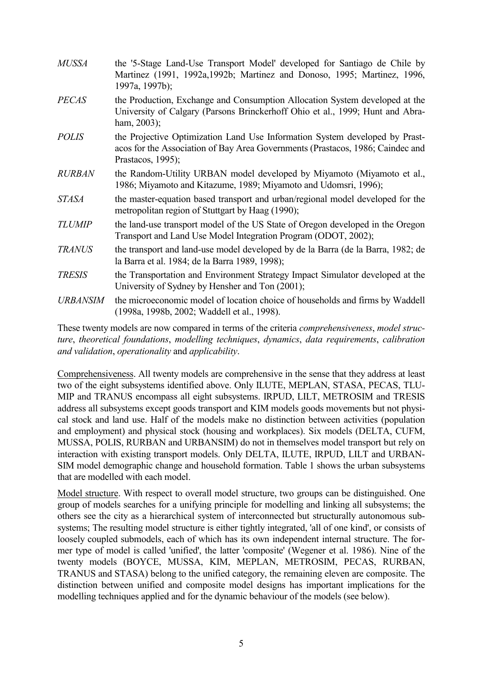| <b>MUSSA</b>    | the '5-Stage Land-Use Transport Model' developed for Santiago de Chile by<br>Martinez (1991, 1992a, 1992b; Martinez and Donoso, 1995; Martinez, 1996,<br>1997a, 1997b);            |
|-----------------|------------------------------------------------------------------------------------------------------------------------------------------------------------------------------------|
| <b>PECAS</b>    | the Production, Exchange and Consumption Allocation System developed at the<br>University of Calgary (Parsons Brinckerhoff Ohio et al., 1999; Hunt and Abra-<br>ham, 2003);        |
| <b>POLIS</b>    | the Projective Optimization Land Use Information System developed by Prast-<br>acos for the Association of Bay Area Governments (Prastacos, 1986; Caindec and<br>Prastacos, 1995); |
| <b>RURBAN</b>   | the Random-Utility URBAN model developed by Miyamoto (Miyamoto et al.,<br>1986; Miyamoto and Kitazume, 1989; Miyamoto and Udomsri, 1996);                                          |
| STASA           | the master-equation based transport and urban/regional model developed for the<br>metropolitan region of Stuttgart by Haag (1990);                                                 |
| <b>TLUMIP</b>   | the land-use transport model of the US State of Oregon developed in the Oregon<br>Transport and Land Use Model Integration Program (ODOT, 2002);                                   |
| <b>TRANUS</b>   | the transport and land-use model developed by de la Barra (de la Barra, 1982; de<br>la Barra et al. 1984; de la Barra 1989, 1998);                                                 |
| <b>TRESIS</b>   | the Transportation and Environment Strategy Impact Simulator developed at the<br>University of Sydney by Hensher and Ton (2001);                                                   |
| <b>URBANSIM</b> | the microeconomic model of location choice of households and firms by Waddell<br>(1998a, 1998b, 2002; Waddell et al., 1998).                                                       |

These twenty models are now compared in terms of the criteria *comprehensiveness*, *model structure*, *theoretical foundations*, *modelling techniques*, *dynamics*, *data requirements*, *calibration and validation*, *operationality* and *applicability*.

Comprehensiveness. All twenty models are comprehensive in the sense that they address at least two of the eight subsystems identified above. Only ILUTE, MEPLAN, STASA, PECAS, TLU-MIP and TRANUS encompass all eight subsystems. IRPUD, LILT, METROSIM and TRESIS address all subsystems except goods transport and KIM models goods movements but not physical stock and land use. Half of the models make no distinction between activities (population and employment) and physical stock (housing and workplaces). Six models (DELTA, CUFM, MUSSA, POLIS, RURBAN and URBANSIM) do not in themselves model transport but rely on interaction with existing transport models. Only DELTA, ILUTE, IRPUD, LILT and URBAN-SIM model demographic change and household formation. Table 1 shows the urban subsystems that are modelled with each model.

Model structure. With respect to overall model structure, two groups can be distinguished. One group of models searches for a unifying principle for modelling and linking all subsystems; the others see the city as a hierarchical system of interconnected but structurally autonomous subsystems; The resulting model structure is either tightly integrated, 'all of one kind', or consists of loosely coupled submodels, each of which has its own independent internal structure. The former type of model is called 'unified', the latter 'composite' (Wegener et al. 1986). Nine of the twenty models (BOYCE, MUSSA, KIM, MEPLAN, METROSIM, PECAS, RURBAN, TRANUS and STASA) belong to the unified category, the remaining eleven are composite. The distinction between unified and composite model designs has important implications for the modelling techniques applied and for the dynamic behaviour of the models (see below).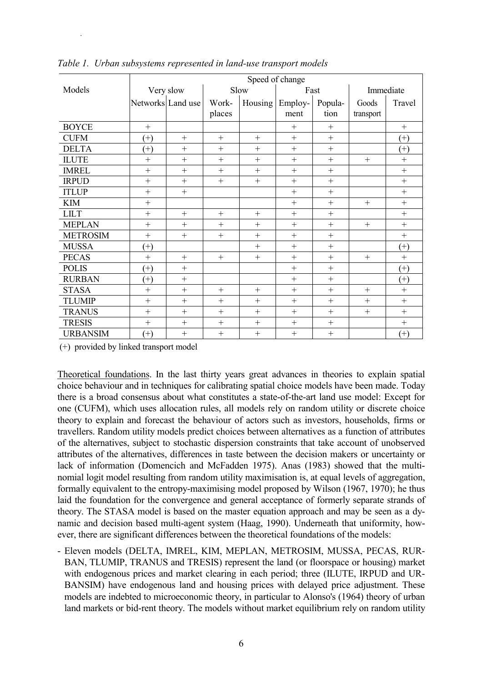|                 | Speed of change |                   |        |         |         |         |           |          |
|-----------------|-----------------|-------------------|--------|---------|---------|---------|-----------|----------|
| Models          |                 | Very slow         | Slow   |         | Fast    |         | Immediate |          |
|                 |                 | Networks Land use | Work-  | Housing | Employ- | Popula- | Goods     | Travel   |
|                 |                 |                   | places |         | ment    | tion    | transport |          |
| <b>BOYCE</b>    | $^{+}$          |                   |        |         | $+$     | $^{+}$  |           | $^{+}$   |
| <b>CUFM</b>     | $^{(+)}$        | $+$               | $+$    | $+$     | $+$     | $+$     |           | $(+)$    |
| <b>DELTA</b>    | $^{(+)}$        | $+$               | $^{+}$ | $+$     | $^{+}$  | $+$     |           | $(+)$    |
| <b>ILUTE</b>    | $+$             | $^{+}$            | $^{+}$ | $+$     | $^{+}$  | $+$     | $^{+}$    | $^{+}$   |
| <b>IMREL</b>    | $+$             | $^{+}$            | $+$    | $+$     | $^{+}$  | $+$     |           | $+$      |
| <b>IRPUD</b>    | $+$             | $+$               | $+$    | $^{+}$  | $^{+}$  | $+$     |           | $+$      |
| <b>ITLUP</b>    | $+$             | $+$               |        |         | $^{+}$  | $+$     |           | $^{+}$   |
| <b>KIM</b>      | $+$             |                   |        |         | $^{+}$  | $+$     | $^{+}$    | $+$      |
| <b>LILT</b>     | $+$             | $+$               | $+$    | $+$     | $+$     | $+$     |           | $+$      |
| <b>MEPLAN</b>   | $+$             | $+$               | $^{+}$ | $^{+}$  | $^{+}$  | $^{+}$  | $^{+}$    | $^{+}$   |
| <b>METROSIM</b> | $+$             | $^{+}$            | $+$    | $^{+}$  | $^{+}$  | $^{+}$  |           | $^{+}$   |
| <b>MUSSA</b>    | $^{(+)}$        |                   |        | $+$     | $^{+}$  | $+$     |           | $^{(+)}$ |
| <b>PECAS</b>    | $+$             | $+$               | $+$    | $+$     | $^{+}$  | $+$     | $^{+}$    | $+$      |
| <b>POLIS</b>    | $^{(+)}$        | $+$               |        |         | $+$     | $+$     |           | $(+)$    |
| <b>RURBAN</b>   | $(+)$           | $+$               |        |         | $^{+}$  | $+$     |           | $^{(+)}$ |
| <b>STASA</b>    | $^{+}$          | $^{+}$            | $^{+}$ | $+$     | $^{+}$  | $+$     | $+$       | $+$      |
| <b>TLUMIP</b>   | $+$             | $^{+}$            | $+$    | $+$     | $^{+}$  | $+$     | $^{+}$    | $+$      |
| <b>TRANUS</b>   | $\ddot{}$       | $+$               | $^{+}$ | $+$     | $^{+}$  | $+$     | $+$       | $+$      |
| <b>TRESIS</b>   | $+$             | $^{+}$            | $^{+}$ | $+$     | $^{+}$  | $+$     |           | $^{+}$   |
| <b>URBANSIM</b> | $^{(+)}$        | $^{+}$            | $^{+}$ | $+$     | $^{+}$  | $^{+}$  |           | $^{(+)}$ |

*Table 1. Urban subsystems represented in land-use transport models*

(+) provided by linked transport model

*.*

Theoretical foundations. In the last thirty years great advances in theories to explain spatial choice behaviour and in techniques for calibrating spatial choice models have been made. Today there is a broad consensus about what constitutes a state-of-the-art land use model: Except for one (CUFM), which uses allocation rules, all models rely on random utility or discrete choice theory to explain and forecast the behaviour of actors such as investors, households, firms or travellers. Random utility models predict choices between alternatives as a function of attributes of the alternatives, subject to stochastic dispersion constraints that take account of unobserved attributes of the alternatives, differences in taste between the decision makers or uncertainty or lack of information (Domencich and McFadden 1975). Anas (1983) showed that the multinomial logit model resulting from random utility maximisation is, at equal levels of aggregation, formally equivalent to the entropy-maximising model proposed by Wilson (1967, 1970); he thus laid the foundation for the convergence and general acceptance of formerly separate strands of theory. The STASA model is based on the master equation approach and may be seen as a dynamic and decision based multi-agent system (Haag, 1990). Underneath that uniformity, however, there are significant differences between the theoretical foundations of the models:

- Eleven models (DELTA, IMREL, KIM, MEPLAN, METROSIM, MUSSA, PECAS, RUR-BAN, TLUMIP, TRANUS and TRESIS) represent the land (or floorspace or housing) market with endogenous prices and market clearing in each period; three (ILUTE, IRPUD and UR-BANSIM) have endogenous land and housing prices with delayed price adjustment. These models are indebted to microeconomic theory, in particular to Alonso's (1964) theory of urban land markets or bid-rent theory. The models without market equilibrium rely on random utility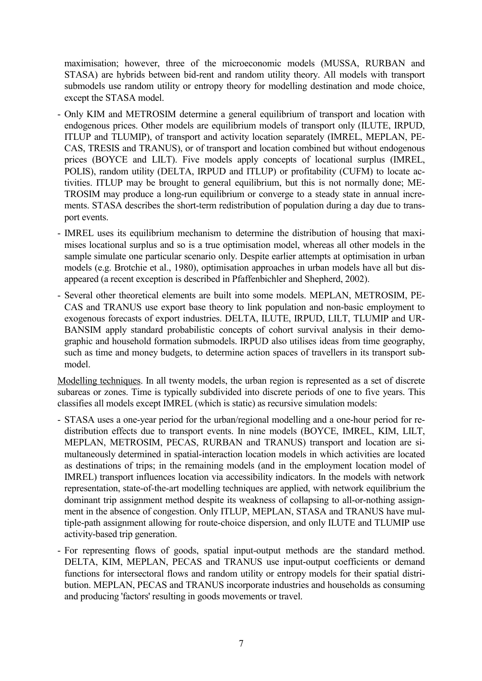maximisation; however, three of the microeconomic models (MUSSA, RURBAN and STASA) are hybrids between bid-rent and random utility theory. All models with transport submodels use random utility or entropy theory for modelling destination and mode choice, except the STASA model.

- Only KIM and METROSIM determine a general equilibrium of transport and location with endogenous prices. Other models are equilibrium models of transport only (ILUTE, IRPUD, ITLUP and TLUMIP), of transport and activity location separately (IMREL, MEPLAN, PE-CAS, TRESIS and TRANUS), or of transport and location combined but without endogenous prices (BOYCE and LILT). Five models apply concepts of locational surplus (IMREL, POLIS), random utility (DELTA, IRPUD and ITLUP) or profitability (CUFM) to locate activities. ITLUP may be brought to general equilibrium, but this is not normally done; ME-TROSIM may produce a long-run equilibrium or converge to a steady state in annual increments. STASA describes the short-term redistribution of population during a day due to transport events.
- IMREL uses its equilibrium mechanism to determine the distribution of housing that maximises locational surplus and so is a true optimisation model, whereas all other models in the sample simulate one particular scenario only. Despite earlier attempts at optimisation in urban models (e.g. Brotchie et al., 1980), optimisation approaches in urban models have all but disappeared (a recent exception is described in Pfaffenbichler and Shepherd, 2002).
- Several other theoretical elements are built into some models. MEPLAN, METROSIM, PE-CAS and TRANUS use export base theory to link population and non-basic employment to exogenous forecasts of export industries. DELTA, ILUTE, IRPUD, LILT, TLUMIP and UR-BANSIM apply standard probabilistic concepts of cohort survival analysis in their demographic and household formation submodels. IRPUD also utilises ideas from time geography, such as time and money budgets, to determine action spaces of travellers in its transport submodel.

Modelling techniques. In all twenty models, the urban region is represented as a set of discrete subareas or zones. Time is typically subdivided into discrete periods of one to five years. This classifies all models except IMREL (which is static) as recursive simulation models:

- STASA uses a one-year period for the urban/regional modelling and a one-hour period for redistribution effects due to transport events. In nine models (BOYCE, IMREL, KIM, LILT, MEPLAN, METROSIM, PECAS, RURBAN and TRANUS) transport and location are simultaneously determined in spatial-interaction location models in which activities are located as destinations of trips; in the remaining models (and in the employment location model of IMREL) transport influences location via accessibility indicators. In the models with network representation, state-of-the-art modelling techniques are applied, with network equilibrium the dominant trip assignment method despite its weakness of collapsing to all-or-nothing assignment in the absence of congestion. Only ITLUP, MEPLAN, STASA and TRANUS have multiple-path assignment allowing for route-choice dispersion, and only ILUTE and TLUMIP use activity-based trip generation.
- For representing flows of goods, spatial input-output methods are the standard method. DELTA, KIM, MEPLAN, PECAS and TRANUS use input-output coefficients or demand functions for intersectoral flows and random utility or entropy models for their spatial distribution. MEPLAN, PECAS and TRANUS incorporate industries and households as consuming and producing 'factors' resulting in goods movements or travel.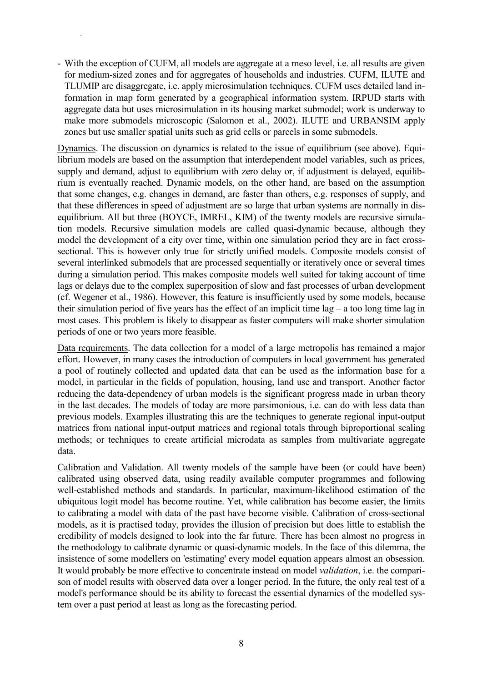- With the exception of CUFM, all models are aggregate at a meso level, i.e. all results are given for medium-sized zones and for aggregates of households and industries. CUFM, ILUTE and TLUMIP are disaggregate, i.e. apply microsimulation techniques. CUFM uses detailed land information in map form generated by a geographical information system. IRPUD starts with aggregate data but uses microsimulation in its housing market submodel; work is underway to make more submodels microscopic (Salomon et al., 2002). ILUTE and URBANSIM apply zones but use smaller spatial units such as grid cells or parcels in some submodels.

*.*

Dynamics. The discussion on dynamics is related to the issue of equilibrium (see above). Equilibrium models are based on the assumption that interdependent model variables, such as prices, supply and demand, adjust to equilibrium with zero delay or, if adjustment is delayed, equilibrium is eventually reached. Dynamic models, on the other hand, are based on the assumption that some changes, e.g. changes in demand, are faster than others, e.g. responses of supply, and that these differences in speed of adjustment are so large that urban systems are normally in disequilibrium. All but three (BOYCE, IMREL, KIM) of the twenty models are recursive simulation models. Recursive simulation models are called quasi-dynamic because, although they model the development of a city over time, within one simulation period they are in fact crosssectional. This is however only true for strictly unified models. Composite models consist of several interlinked submodels that are processed sequentially or iteratively once or several times during a simulation period. This makes composite models well suited for taking account of time lags or delays due to the complex superposition of slow and fast processes of urban development (cf. Wegener et al., 1986). However, this feature is insufficiently used by some models, because their simulation period of five years has the effect of an implicit time lag – a too long time lag in most cases. This problem is likely to disappear as faster computers will make shorter simulation periods of one or two years more feasible.

Data requirements. The data collection for a model of a large metropolis has remained a major effort. However, in many cases the introduction of computers in local government has generated a pool of routinely collected and updated data that can be used as the information base for a model, in particular in the fields of population, housing, land use and transport. Another factor reducing the data-dependency of urban models is the significant progress made in urban theory in the last decades. The models of today are more parsimonious, i.e. can do with less data than previous models. Examples illustrating this are the techniques to generate regional input-output matrices from national input-output matrices and regional totals through biproportional scaling methods; or techniques to create artificial microdata as samples from multivariate aggregate data.

Calibration and Validation. All twenty models of the sample have been (or could have been) calibrated using observed data, using readily available computer programmes and following well-established methods and standards. In particular, maximum-likelihood estimation of the ubiquitous logit model has become routine. Yet, while calibration has become easier, the limits to calibrating a model with data of the past have become visible. Calibration of cross-sectional models, as it is practised today, provides the illusion of precision but does little to establish the credibility of models designed to look into the far future. There has been almost no progress in the methodology to calibrate dynamic or quasi-dynamic models. In the face of this dilemma, the insistence of some modellers on 'estimating' every model equation appears almost an obsession. It would probably be more effective to concentrate instead on model *validation*, i.e. the comparison of model results with observed data over a longer period. In the future, the only real test of a model's performance should be its ability to forecast the essential dynamics of the modelled system over a past period at least as long as the forecasting period.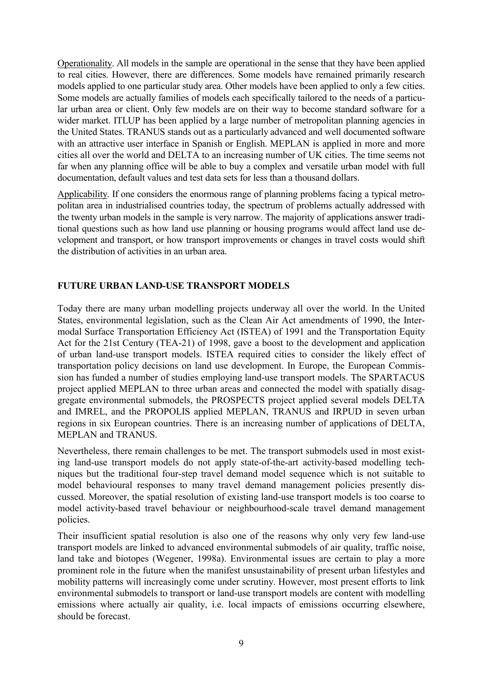Operationality. All models in the sample are operational in the sense that they have been applied to real cities. However, there are differences. Some models have remained primarily research models applied to one particular study area. Other models have been applied to only a few cities. Some models are actually families of models each specifically tailored to the needs of a particular urban area or client. Only few models are on their way to become standard software for a wider market. ITLUP has been applied by a large number of metropolitan planning agencies in the United States. TRANUS stands out as a particularly advanced and well documented software with an attractive user interface in Spanish or English. MEPLAN is applied in more and more cities all over the world and DELTA to an increasing number of UK cities. The time seems not far when any planning office will be able to buy a complex and versatile urban model with full documentation, default values and test data sets for less than a thousand dollars.

Applicability. If one considers the enormous range of planning problems facing a typical metropolitan area in industrialised countries today, the spectrum of problems actually addressed with the twenty urban models in the sample is very narrow. The majority of applications answer traditional questions such as how land use planning or housing programs would affect land use development and transport, or how transport improvements or changes in travel costs would shift the distribution of activities in an urban area.

## **FUTURE URBAN LAND-USE TRANSPORT MODELS**

Today there are many urban modelling projects underway all over the world. In the United States, environmental legislation, such as the Clean Air Act amendments of 1990, the Intermodal Surface Transportation Efficiency Act (ISTEA) of 1991 and the Transportation Equity Act for the 21st Century (TEA-21) of 1998, gave a boost to the development and application of urban land-use transport models. ISTEA required cities to consider the likely effect of transportation policy decisions on land use development. In Europe, the European Commission has funded a number of studies employing land-use transport models. The SPARTACUS project applied MEPLAN to three urban areas and connected the model with spatially disaggregate environmental submodels, the PROSPECTS project applied several models DELTA and IMREL, and the PROPOLIS applied MEPLAN, TRANUS and IRPUD in seven urban regions in six European countries. There is an increasing number of applications of DELTA, MEPLAN and TRANUS.

Nevertheless, there remain challenges to be met. The transport submodels used in most existing land-use transport models do not apply state-of-the-art activity-based modelling techniques but the traditional four-step travel demand model sequence which is not suitable to model behavioural responses to many travel demand management policies presently discussed. Moreover, the spatial resolution of existing land-use transport models is too coarse to model activity-based travel behaviour or neighbourhood-scale travel demand management policies.

Their insufficient spatial resolution is also one of the reasons why only very few land-use transport models are linked to advanced environmental submodels of air quality, traffic noise, land take and biotopes (Wegener, 1998a). Environmental issues are certain to play a more prominent role in the future when the manifest unsustainability of present urban lifestyles and mobility patterns will increasingly come under scrutiny. However, most present efforts to link environmental submodels to transport or land-use transport models are content with modelling emissions where actually air quality, i.e. local impacts of emissions occurring elsewhere, should be forecast.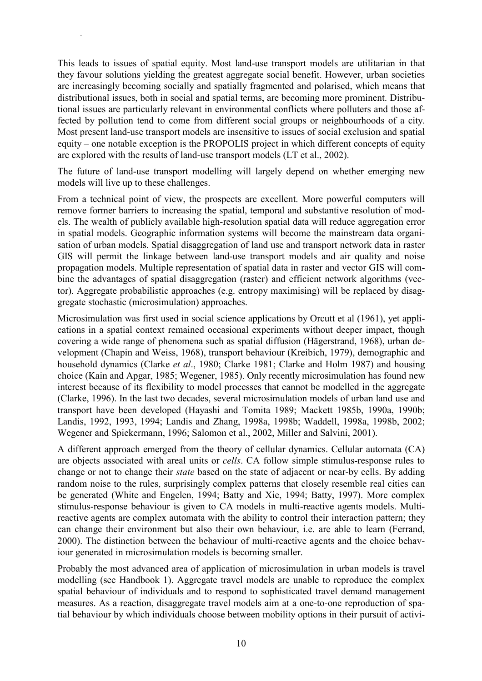This leads to issues of spatial equity. Most land-use transport models are utilitarian in that they favour solutions yielding the greatest aggregate social benefit. However, urban societies are increasingly becoming socially and spatially fragmented and polarised, which means that distributional issues, both in social and spatial terms, are becoming more prominent. Distributional issues are particularly relevant in environmental conflicts where polluters and those affected by pollution tend to come from different social groups or neighbourhoods of a city. Most present land-use transport models are insensitive to issues of social exclusion and spatial equity – one notable exception is the PROPOLIS project in which different concepts of equity are explored with the results of land-use transport models (LT et al., 2002).

*.*

The future of land-use transport modelling will largely depend on whether emerging new models will live up to these challenges.

From a technical point of view, the prospects are excellent. More powerful computers will remove former barriers to increasing the spatial, temporal and substantive resolution of models. The wealth of publicly available high-resolution spatial data will reduce aggregation error in spatial models. Geographic information systems will become the mainstream data organisation of urban models. Spatial disaggregation of land use and transport network data in raster GIS will permit the linkage between land-use transport models and air quality and noise propagation models. Multiple representation of spatial data in raster and vector GIS will combine the advantages of spatial disaggregation (raster) and efficient network algorithms (vector). Aggregate probabilistic approaches (e.g. entropy maximising) will be replaced by disaggregate stochastic (microsimulation) approaches.

Microsimulation was first used in social science applications by Orcutt et al (1961), yet applications in a spatial context remained occasional experiments without deeper impact, though covering a wide range of phenomena such as spatial diffusion (Hägerstrand, 1968), urban development (Chapin and Weiss, 1968), transport behaviour (Kreibich, 1979), demographic and household dynamics (Clarke *et al*., 1980; Clarke 1981; Clarke and Holm 1987) and housing choice (Kain and Apgar, 1985; Wegener, 1985). Only recently microsimulation has found new interest because of its flexibility to model processes that cannot be modelled in the aggregate (Clarke, 1996). In the last two decades, several microsimulation models of urban land use and transport have been developed (Hayashi and Tomita 1989; Mackett 1985b, 1990a, 1990b; Landis, 1992, 1993, 1994; Landis and Zhang, 1998a, 1998b; Waddell, 1998a, 1998b, 2002; Wegener and Spiekermann, 1996; Salomon et al., 2002, Miller and Salvini, 2001).

A different approach emerged from the theory of cellular dynamics. Cellular automata (CA) are objects associated with areal units or *cells*. CA follow simple stimulus-response rules to change or not to change their *state* based on the state of adjacent or near-by cells. By adding random noise to the rules, surprisingly complex patterns that closely resemble real cities can be generated (White and Engelen, 1994; Batty and Xie, 1994; Batty, 1997). More complex stimulus-response behaviour is given to CA models in multi-reactive agents models. Multireactive agents are complex automata with the ability to control their interaction pattern; they can change their environment but also their own behaviour, i.e. are able to learn (Ferrand, 2000). The distinction between the behaviour of multi-reactive agents and the choice behaviour generated in microsimulation models is becoming smaller.

Probably the most advanced area of application of microsimulation in urban models is travel modelling (see Handbook 1). Aggregate travel models are unable to reproduce the complex spatial behaviour of individuals and to respond to sophisticated travel demand management measures. As a reaction, disaggregate travel models aim at a one-to-one reproduction of spatial behaviour by which individuals choose between mobility options in their pursuit of activi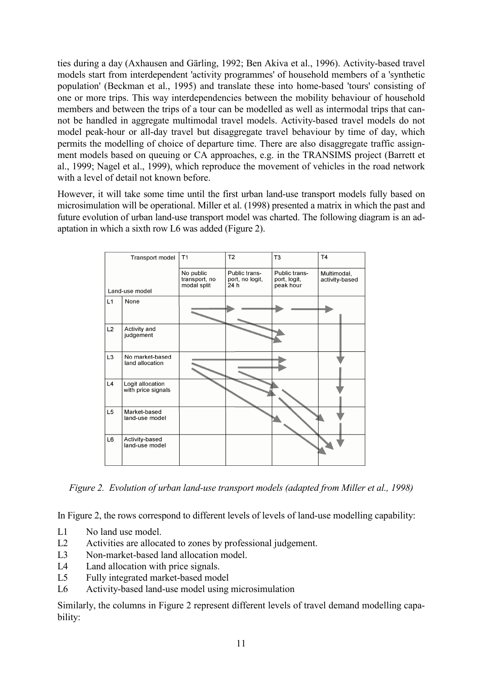ties during a day (Axhausen and Gärling, 1992; Ben Akiva et al., 1996). Activity-based travel models start from interdependent 'activity programmes' of household members of a 'synthetic population' (Beckman et al., 1995) and translate these into home-based 'tours' consisting of one or more trips. This way interdependencies between the mobility behaviour of household members and between the trips of a tour can be modelled as well as intermodal trips that cannot be handled in aggregate multimodal travel models. Activity-based travel models do not model peak-hour or all-day travel but disaggregate travel behaviour by time of day, which permits the modelling of choice of departure time. There are also disaggregate traffic assignment models based on queuing or CA approaches, e.g. in the TRANSIMS project (Barrett et al., 1999; Nagel et al., 1999), which reproduce the movement of vehicles in the road network with a level of detail not known before.

However, it will take some time until the first urban land-use transport models fully based on microsimulation will be operational. Miller et al. (1998) presented a matrix in which the past and future evolution of urban land-use transport model was charted. The following diagram is an adaptation in which a sixth row L6 was added (Figure 2).

| Transport model |                                        | T <sub>1</sub>                            | T <sub>2</sub>                           | T <sub>3</sub>                             | T <sub>4</sub>                |
|-----------------|----------------------------------------|-------------------------------------------|------------------------------------------|--------------------------------------------|-------------------------------|
|                 |                                        | No public<br>transport, no<br>modal split | Public trans-<br>port, no logit,<br>24 h | Public trans-<br>port, logit,<br>peak hour | Multimodal,<br>activity-based |
|                 | Land-use model                         |                                           |                                          |                                            |                               |
| L1              | None                                   |                                           |                                          |                                            |                               |
| L2              | Activity and<br>judgement              |                                           |                                          |                                            |                               |
| L <sub>3</sub>  | No market-based<br>land allocation     |                                           |                                          |                                            |                               |
| L4              | Logit allocation<br>with price signals |                                           |                                          |                                            |                               |
| L <sub>5</sub>  | Market-based<br>land-use model         |                                           |                                          |                                            |                               |
| L <sub>6</sub>  | Activity-based<br>land-use model       |                                           |                                          |                                            |                               |

*Figure 2. Evolution of urban land-use transport models (adapted from Miller et al., 1998)*

In Figure 2, the rows correspond to different levels of levels of land-use modelling capability:

- L1 No land use model.
- L2 Activities are allocated to zones by professional judgement.
- L3 Non-market-based land allocation model.
- L4 Land allocation with price signals.
- L5 Fully integrated market-based model
- L6 Activity-based land-use model using microsimulation

Similarly, the columns in Figure 2 represent different levels of travel demand modelling capability: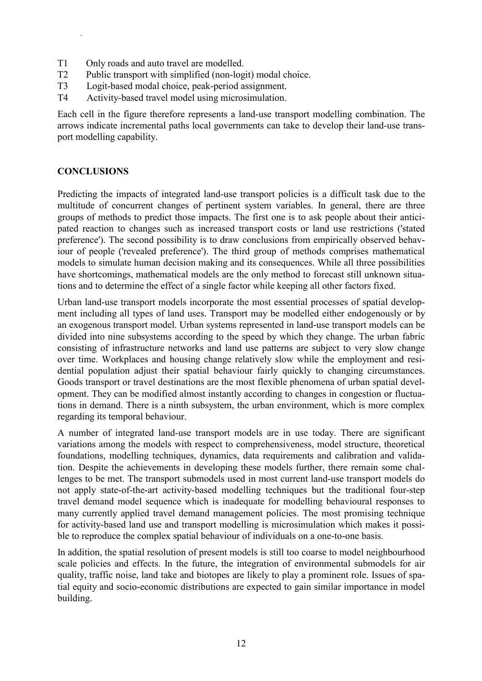- T1 Only roads and auto travel are modelled.
- T2 Public transport with simplified (non-logit) modal choice.
- T3 Logit-based modal choice, peak-period assignment.
- T4 Activity-based travel model using microsimulation.

Each cell in the figure therefore represents a land-use transport modelling combination. The arrows indicate incremental paths local governments can take to develop their land-use transport modelling capability.

# **CONCLUSIONS**

*.*

Predicting the impacts of integrated land-use transport policies is a difficult task due to the multitude of concurrent changes of pertinent system variables. In general, there are three groups of methods to predict those impacts. The first one is to ask people about their anticipated reaction to changes such as increased transport costs or land use restrictions ('stated preference'). The second possibility is to draw conclusions from empirically observed behaviour of people ('revealed preference'). The third group of methods comprises mathematical models to simulate human decision making and its consequences. While all three possibilities have shortcomings, mathematical models are the only method to forecast still unknown situations and to determine the effect of a single factor while keeping all other factors fixed.

Urban land-use transport models incorporate the most essential processes of spatial development including all types of land uses. Transport may be modelled either endogenously or by an exogenous transport model. Urban systems represented in land-use transport models can be divided into nine subsystems according to the speed by which they change. The urban fabric consisting of infrastructure networks and land use patterns are subject to very slow change over time. Workplaces and housing change relatively slow while the employment and residential population adjust their spatial behaviour fairly quickly to changing circumstances. Goods transport or travel destinations are the most flexible phenomena of urban spatial development. They can be modified almost instantly according to changes in congestion or fluctuations in demand. There is a ninth subsystem, the urban environment, which is more complex regarding its temporal behaviour.

A number of integrated land-use transport models are in use today. There are significant variations among the models with respect to comprehensiveness, model structure, theoretical foundations, modelling techniques, dynamics, data requirements and calibration and validation. Despite the achievements in developing these models further, there remain some challenges to be met. The transport submodels used in most current land-use transport models do not apply state-of-the-art activity-based modelling techniques but the traditional four-step travel demand model sequence which is inadequate for modelling behavioural responses to many currently applied travel demand management policies. The most promising technique for activity-based land use and transport modelling is microsimulation which makes it possible to reproduce the complex spatial behaviour of individuals on a one-to-one basis.

In addition, the spatial resolution of present models is still too coarse to model neighbourhood scale policies and effects. In the future, the integration of environmental submodels for air quality, traffic noise, land take and biotopes are likely to play a prominent role. Issues of spatial equity and socio-economic distributions are expected to gain similar importance in model building.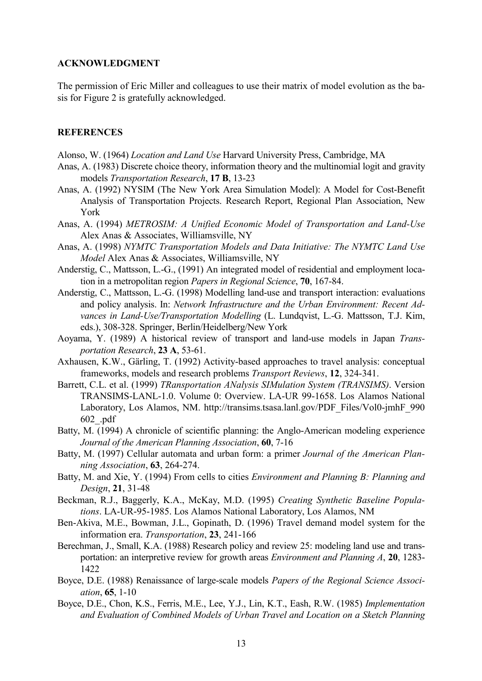### **ACKNOWLEDGMENT**

The permission of Eric Miller and colleagues to use their matrix of model evolution as the basis for Figure 2 is gratefully acknowledged.

### **REFERENCES**

- Alonso, W. (1964) *Location and Land Use* Harvard University Press, Cambridge, MA
- Anas, A. (1983) Discrete choice theory, information theory and the multinomial logit and gravity models *Transportation Research*, **17 B**, 13-23
- Anas, A. (1992) NYSIM (The New York Area Simulation Model): A Model for Cost-Benefit Analysis of Transportation Projects. Research Report, Regional Plan Association, New York
- Anas, A. (1994) *METROSIM: A Unified Economic Model of Transportation and Land-Use* Alex Anas & Associates, Williamsville, NY
- Anas, A. (1998) *NYMTC Transportation Models and Data Initiative: The NYMTC Land Use Model* Alex Anas & Associates, Williamsville, NY
- Anderstig, C., Mattsson, L.-G., (1991) An integrated model of residential and employment location in a metropolitan region *Papers in Regional Science*, **70**, 167-84.
- Anderstig, C., Mattsson, L.-G. (1998) Modelling land-use and transport interaction: evaluations and policy analysis. In: *Network Infrastructure and the Urban Environment: Recent Advances in Land-Use/Transportation Modelling* (L. Lundqvist, L.-G. Mattsson, T.J. Kim, eds.), 308-328. Springer, Berlin/Heidelberg/New York
- Aoyama, Y. (1989) A historical review of transport and land-use models in Japan *Transportation Research*, **23 A**, 53-61.
- Axhausen, K.W., Gärling, T. (1992) Activity-based approaches to travel analysis: conceptual frameworks, models and research problems *Transport Reviews*, **12**, 324-341.
- Barrett, C.L. et al. (1999) *TRansportation ANalysis SIMulation System (TRANSIMS)*. Version TRANSIMS-LANL-1.0. Volume 0: Overview. LA-UR 99-1658. Los Alamos National Laboratory, Los Alamos, NM. http://transims.tsasa.lanl.gov/PDF\_Files/Vol0-jmhF\_990 602\_.pdf
- Batty, M. (1994) A chronicle of scientific planning: the Anglo-American modeling experience *Journal of the American Planning Association*, **60**, 7-16
- Batty, M. (1997) Cellular automata and urban form: a primer *Journal of the American Planning Association*, **63**, 264-274.
- Batty, M. and Xie, Y. (1994) From cells to cities *Environment and Planning B: Planning and Design*, **21**, 31-48
- Beckman, R.J., Baggerly, K.A., McKay, M.D. (1995) *Creating Synthetic Baseline Populations*. LA-UR-95-1985. Los Alamos National Laboratory, Los Alamos, NM
- Ben-Akiva, M.E., Bowman, J.L., Gopinath, D. (1996) Travel demand model system for the information era. *Transportation*, **23**, 241-166
- Berechman, J., Small, K.A. (1988) Research policy and review 25: modeling land use and transportation: an interpretive review for growth areas *Environment and Planning A*, **20**, 1283- 1422
- Boyce, D.E. (1988) Renaissance of large-scale models *Papers of the Regional Science Association*, **65**, 1-10
- Boyce, D.E., Chon, K.S., Ferris, M.E., Lee, Y.J., Lin, K.T., Eash, R.W. (1985) *Implementation and Evaluation of Combined Models of Urban Travel and Location on a Sketch Planning*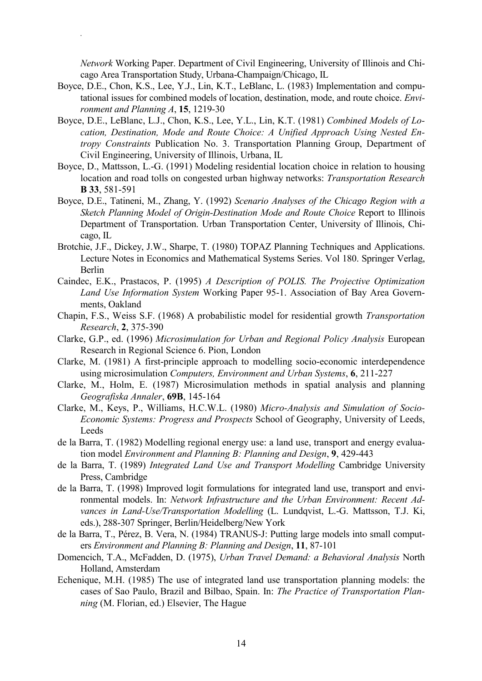*Network* Working Paper. Department of Civil Engineering, University of Illinois and Chicago Area Transportation Study, Urbana-Champaign/Chicago, IL

Boyce, D.E., Chon, K.S., Lee, Y.J., Lin, K.T., LeBlanc, L. (1983) Implementation and computational issues for combined models of location, destination, mode, and route choice. *Environment and Planning A*, **15**, 1219-30

- Boyce, D.E., LeBlanc, L.J., Chon, K.S., Lee, Y.L., Lin, K.T. (1981) *Combined Models of Location, Destination, Mode and Route Choice: A Unified Approach Using Nested Entropy Constraints* Publication No. 3. Transportation Planning Group, Department of Civil Engineering, University of Illinois, Urbana, IL
- Boyce, D., Mattsson, L.-G. (1991) Modeling residential location choice in relation to housing location and road tolls on congested urban highway networks: *Transportation Research* **B 33**, 581-591
- Boyce, D.E., Tatineni, M., Zhang, Y. (1992) *Scenario Analyses of the Chicago Region with a Sketch Planning Model of Origin-Destination Mode and Route Choice* Report to Illinois Department of Transportation. Urban Transportation Center, University of Illinois, Chicago, IL
- Brotchie, J.F., Dickey, J.W., Sharpe, T. (1980) TOPAZ Planning Techniques and Applications. Lecture Notes in Economics and Mathematical Systems Series. Vol 180. Springer Verlag, Berlin
- Caindec, E.K., Prastacos, P. (1995) *A Description of POLIS. The Projective Optimization Land Use Information System* Working Paper 95-1. Association of Bay Area Governments, Oakland
- Chapin, F.S., Weiss S.F. (1968) A probabilistic model for residential growth *Transportation Research*, **2**, 375-390
- Clarke, G.P., ed. (1996) *Microsimulation for Urban and Regional Policy Analysis* European Research in Regional Science 6. Pion, London
- Clarke, M. (1981) A first-principle approach to modelling socio-economic interdependence using microsimulation *Computers, Environment and Urban Systems*, **6**, 211-227
- Clarke, M., Holm, E. (1987) Microsimulation methods in spatial analysis and planning *Geografiska Annaler*, **69B**, 145-164
- Clarke, M., Keys, P., Williams, H.C.W.L. (1980) *Micro-Analysis and Simulation of Socio-Economic Systems: Progress and Prospects* School of Geography, University of Leeds, Leeds
- de la Barra, T. (1982) Modelling regional energy use: a land use, transport and energy evaluation model *Environment and Planning B: Planning and Design*, **9**, 429-443
- de la Barra, T. (1989) *Integrated Land Use and Transport Modelling* Cambridge University Press, Cambridge
- de la Barra, T. (1998) Improved logit formulations for integrated land use, transport and environmental models. In: *Network Infrastructure and the Urban Environment: Recent Advances in Land-Use/Transportation Modelling* (L. Lundqvist, L.-G. Mattsson, T.J. Ki, eds.), 288-307 Springer, Berlin/Heidelberg/New York
- de la Barra, T., Pérez, B. Vera, N. (1984) TRANUS-J: Putting large models into small computers *Environment and Planning B: Planning and Design*, **11**, 87-101
- Domencich, T.A., McFadden, D. (1975), *Urban Travel Demand: a Behavioral Analysis* North Holland, Amsterdam
- Echenique, M.H. (1985) The use of integrated land use transportation planning models: the cases of Sao Paulo, Brazil and Bilbao, Spain. In: *The Practice of Transportation Planning* (M. Florian, ed.) Elsevier, The Hague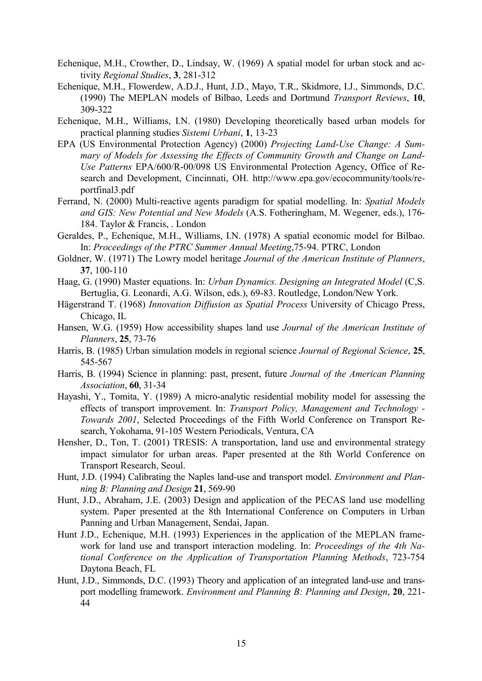- Echenique, M.H., Crowther, D., Lindsay, W. (1969) A spatial model for urban stock and activity *Regional Studies*, **3**, 281-312
- Echenique, M.H., Flowerdew, A.D.J., Hunt, J.D., Mayo, T.R., Skidmore, I.J., Simmonds, D.C. (1990) The MEPLAN models of Bilbao, Leeds and Dortmund *Transport Reviews*, **10**, 309-322
- Echenique, M.H., Williams, I.N. (1980) Developing theoretically based urban models for practical planning studies *Sistemi Urbani*, **1**, 13-23
- EPA (US Environmental Protection Agency) (2000) *Projecting Land-Use Change: A Summary of Models for Assessing the Effects of Community Growth and Change on Land-Use Patterns* EPA/600/R-00/098 US Environmental Protection Agency, Office of Research and Development, Cincinnati, OH. http://www.epa.gov/ecocommunity/tools/reportfinal3.pdf
- Ferrand, N. (2000) Multi-reactive agents paradigm for spatial modelling. In: *Spatial Models and GIS: New Potential and New Models* (A.S. Fotheringham, M. Wegener, eds.), 176- 184. Taylor & Francis, . London
- Geraldes, P., Echenique, M.H., Williams, I.N. (1978) A spatial economic model for Bilbao. In: *Proceedings of the PTRC Summer Annual Meeting*,75-94. PTRC, London
- Goldner, W. (1971) The Lowry model heritage *Journal of the American Institute of Planners*, **37**, 100-110
- Haag, G. (1990) Master equations. In: *Urban Dynamics. Designing an Integrated Model* (C,S. Bertuglia, G. Leonardi, A.G. Wilson, eds.), 69-83. Routledge, London/New York.
- Hägerstrand T. (1968) *Innovation Diffusion as Spatial Process* University of Chicago Press, Chicago, IL
- Hansen, W.G. (1959) How accessibility shapes land use *Journal of the American Institute of Planners*, **25**, 73-76
- Harris, B. (1985) Urban simulation models in regional science *Journal of Regional Science*, **25**, 545-567
- Harris, B. (1994) Science in planning: past, present, future *Journal of the American Planning Association*, **60**, 31-34
- Hayashi, Y., Tomita, Y. (1989) A micro-analytic residential mobility model for assessing the effects of transport improvement. In: *Transport Policy, Management and Technology - Towards 2001*, Selected Proceedings of the Fifth World Conference on Transport Research, Yokohama, 91-105 Western Periodicals, Ventura, CA
- Hensher, D., Ton, T. (2001) TRESIS: A transportation, land use and environmental strategy impact simulator for urban areas. Paper presented at the 8th World Conference on Transport Research, Seoul.
- Hunt, J.D. (1994) Calibrating the Naples land-use and transport model. *Environment and Planning B: Planning and Design* **21**, 569-90
- Hunt, J.D., Abraham, J.E. (2003) Design and application of the PECAS land use modelling system. Paper presented at the 8th International Conference on Computers in Urban Panning and Urban Management, Sendai, Japan.
- Hunt J.D., Echenique, M.H. (1993) Experiences in the application of the MEPLAN framework for land use and transport interaction modeling. In: *Proceedings of the 4th National Conference on the Application of Transportation Planning Methods*, 723-754 Daytona Beach, FL
- Hunt, J.D., Simmonds, D.C. (1993) Theory and application of an integrated land-use and transport modelling framework. *Environment and Planning B: Planning and Design*, **20**, 221- 44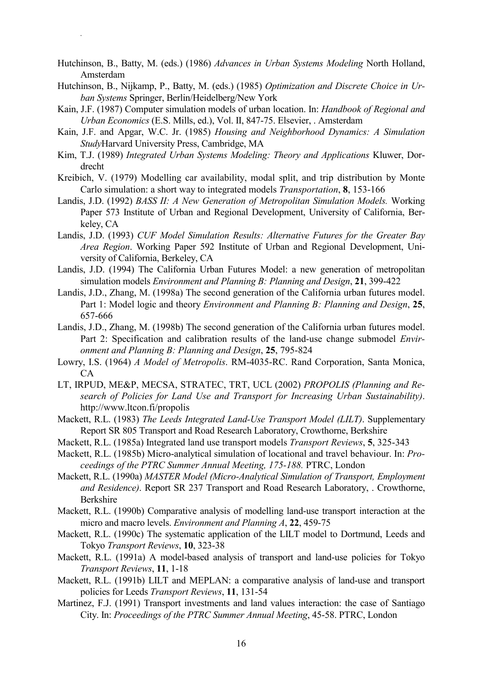Hutchinson, B., Batty, M. (eds.) (1986) *Advances in Urban Systems Modeling* North Holland, Amsterdam

- Hutchinson, B., Nijkamp, P., Batty, M. (eds.) (1985) *Optimization and Discrete Choice in Urban Systems* Springer, Berlin/Heidelberg/New York
- Kain, J.F. (1987) Computer simulation models of urban location. In: *Handbook of Regional and Urban Economics* (E.S. Mills, ed.), Vol. II, 847-75. Elsevier, . Amsterdam
- Kain, J.F. and Apgar, W.C. Jr. (1985) *Housing and Neighborhood Dynamics: A Simulation Study*Harvard University Press, Cambridge, MA
- Kim, T.J. (1989) *Integrated Urban Systems Modeling: Theory and Applications* Kluwer, Dordrecht
- Kreibich, V. (1979) Modelling car availability, modal split, and trip distribution by Monte Carlo simulation: a short way to integrated models *Transportation*, **8**, 153-166
- Landis, J.D. (1992) *BASS II: A New Generation of Metropolitan Simulation Models.* Working Paper 573 Institute of Urban and Regional Development, University of California, Berkeley, CA
- Landis, J.D. (1993) *CUF Model Simulation Results: Alternative Futures for the Greater Bay Area Region*. Working Paper 592 Institute of Urban and Regional Development, University of California, Berkeley, CA
- Landis, J.D. (1994) The California Urban Futures Model: a new generation of metropolitan simulation models *Environment and Planning B: Planning and Design*, **21**, 399-422
- Landis, J.D., Zhang, M. (1998a) The second generation of the California urban futures model. Part 1: Model logic and theory *Environment and Planning B: Planning and Design*, **25**, 657-666
- Landis, J.D., Zhang, M. (1998b) The second generation of the California urban futures model. Part 2: Specification and calibration results of the land-use change submodel *Environment and Planning B: Planning and Design*, **25**, 795-824
- Lowry, I.S. (1964) *A Model of Metropolis*. RM-4035-RC. Rand Corporation, Santa Monica, CA
- LT, IRPUD, ME&P, MECSA, STRATEC, TRT, UCL (2002) *PROPOLIS (Planning and Research of Policies for Land Use and Transport for Increasing Urban Sustainability)*. http://www.ltcon.fi/propolis
- Mackett, R.L. (1983) *The Leeds Integrated Land-Use Transport Model (LILT)*. Supplementary Report SR 805 Transport and Road Research Laboratory, Crowthorne, Berkshire
- Mackett, R.L. (1985a) Integrated land use transport models *Transport Reviews*, **5**, 325-343
- Mackett, R.L. (1985b) Micro-analytical simulation of locational and travel behaviour. In: *Proceedings of the PTRC Summer Annual Meeting, 175-188.* PTRC, London
- Mackett, R.L. (1990a) *MASTER Model (Micro-Analytical Simulation of Transport, Employment and Residence)*. Report SR 237 Transport and Road Research Laboratory, . Crowthorne, Berkshire
- Mackett, R.L. (1990b) Comparative analysis of modelling land-use transport interaction at the micro and macro levels. *Environment and Planning A*, **22**, 459-75
- Mackett, R.L. (1990c) The systematic application of the LILT model to Dortmund, Leeds and Tokyo *Transport Reviews*, **10**, 323-38
- Mackett, R.L. (1991a) A model-based analysis of transport and land-use policies for Tokyo *Transport Reviews*, **11**, 1-18
- Mackett, R.L. (1991b) LILT and MEPLAN: a comparative analysis of land-use and transport policies for Leeds *Transport Reviews*, **11**, 131-54
- Martinez, F.J. (1991) Transport investments and land values interaction: the case of Santiago City. In: *Proceedings of the PTRC Summer Annual Meeting*, 45-58. PTRC, London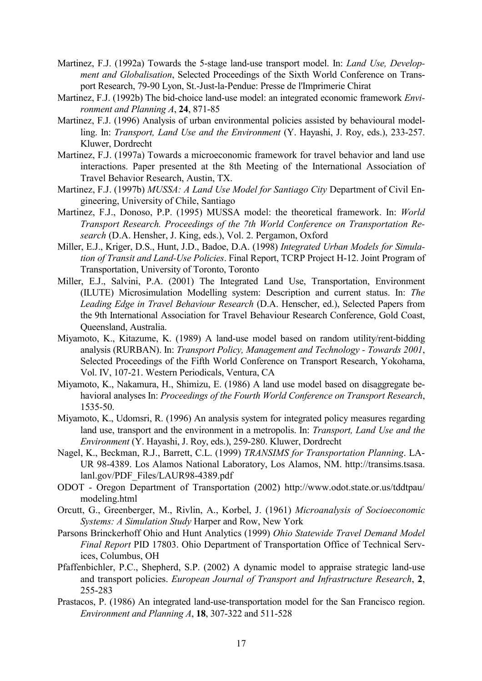- Martinez, F.J. (1992a) Towards the 5-stage land-use transport model. In: *Land Use, Development and Globalisation*, Selected Proceedings of the Sixth World Conference on Transport Research, 79-90 Lyon, St.-Just-la-Pendue: Presse de l'Imprimerie Chirat
- Martinez, F.J. (1992b) The bid-choice land-use model: an integrated economic framework *Environment and Planning A*, **24**, 871-85
- Martinez, F.J. (1996) Analysis of urban environmental policies assisted by behavioural modelling. In: *Transport, Land Use and the Environment* (Y. Hayashi, J. Roy, eds.), 233-257. Kluwer, Dordrecht
- Martinez, F.J. (1997a) Towards a microeconomic framework for travel behavior and land use interactions. Paper presented at the 8th Meeting of the International Association of Travel Behavior Research, Austin, TX.
- Martinez, F.J. (1997b) *MUSSA: A Land Use Model for Santiago City* Department of Civil Engineering, University of Chile, Santiago
- Martinez, F.J., Donoso, P.P. (1995) MUSSA model: the theoretical framework. In: *World Transport Research. Proceedings of the 7th World Conference on Transportation Research* (D.A. Hensher, J. King, eds.), Vol. 2. Pergamon, Oxford
- Miller, E.J., Kriger, D.S., Hunt, J.D., Badoe, D.A. (1998) *Integrated Urban Models for Simulation of Transit and Land-Use Policies*. Final Report, TCRP Project H-12. Joint Program of Transportation, University of Toronto, Toronto
- Miller, E.J., Salvini, P.A. (2001) The Integrated Land Use, Transportation, Environment (ILUTE) Microsimulation Modelling system: Description and current status. In: *The Leading Edge in Travel Behaviour Research* (D.A. Henscher, ed.), Selected Papers from the 9th International Association for Travel Behaviour Research Conference, Gold Coast, Queensland, Australia.
- Miyamoto, K., Kitazume, K. (1989) A land-use model based on random utility/rent-bidding analysis (RURBAN). In: *Transport Policy, Management and Technology - Towards 2001*, Selected Proceedings of the Fifth World Conference on Transport Research, Yokohama, Vol. IV, 107-21. Western Periodicals, Ventura, CA
- Miyamoto, K., Nakamura, H., Shimizu, E. (1986) A land use model based on disaggregate behavioral analyses In: *Proceedings of the Fourth World Conference on Transport Research*, 1535-50.
- Miyamoto, K., Udomsri, R. (1996) An analysis system for integrated policy measures regarding land use, transport and the environment in a metropolis. In: *Transport, Land Use and the Environment* (Y. Hayashi, J. Roy, eds.), 259-280. Kluwer, Dordrecht
- Nagel, K., Beckman, R.J., Barrett, C.L. (1999) *TRANSIMS for Transportation Planning*. LA-UR 98-4389. Los Alamos National Laboratory, Los Alamos, NM. http://transims.tsasa. lanl.gov/PDF\_Files/LAUR98-4389.pdf
- ODOT Oregon Department of Transportation (2002) http://www.odot.state.or.us/tddtpau/ modeling.html
- Orcutt, G., Greenberger, M., Rivlin, A., Korbel, J. (1961) *Microanalysis of Socioeconomic Systems: A Simulation Study* Harper and Row, New York
- Parsons Brinckerhoff Ohio and Hunt Analytics (1999) *Ohio Statewide Travel Demand Model Final Report* PID 17803. Ohio Department of Transportation Office of Technical Services, Columbus, OH
- Pfaffenbichler, P.C., Shepherd, S.P. (2002) A dynamic model to appraise strategic land-use and transport policies. *European Journal of Transport and Infrastructure Research*, **2**, 255-283
- Prastacos, P. (1986) An integrated land-use-transportation model for the San Francisco region. *Environment and Planning A*, **18**, 307-322 and 511-528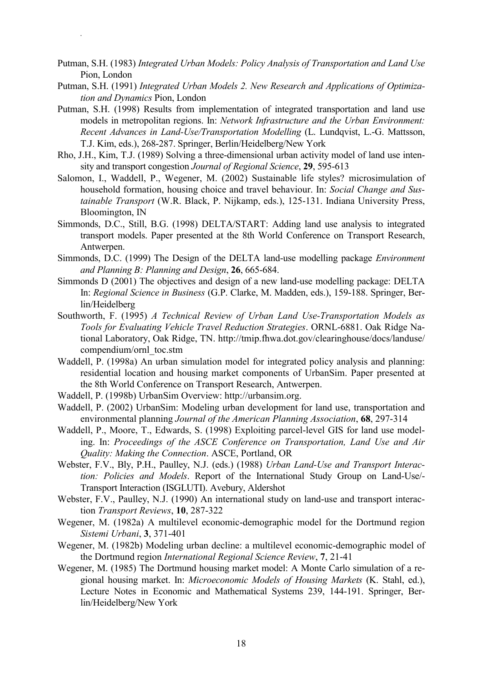Putman, S.H. (1983) *Integrated Urban Models: Policy Analysis of Transportation and Land Use* Pion, London

- Putman, S.H. (1991) *Integrated Urban Models 2. New Research and Applications of Optimization and Dynamics* Pion, London
- Putman, S.H. (1998) Results from implementation of integrated transportation and land use models in metropolitan regions. In: *Network Infrastructure and the Urban Environment: Recent Advances in Land-Use/Transportation Modelling* (L. Lundqvist, L.-G. Mattsson, T.J. Kim, eds.), 268-287. Springer, Berlin/Heidelberg/New York
- Rho, J.H., Kim, T.J. (1989) Solving a three-dimensional urban activity model of land use intensity and transport congestion *Journal of Regional Science*, **29**, 595-613
- Salomon, I., Waddell, P., Wegener, M. (2002) Sustainable life styles? microsimulation of household formation, housing choice and travel behaviour. In: *Social Change and Sustainable Transport* (W.R. Black, P. Nijkamp, eds.), 125-131. Indiana University Press, Bloomington, IN
- Simmonds, D.C., Still, B.G. (1998) DELTA/START: Adding land use analysis to integrated transport models. Paper presented at the 8th World Conference on Transport Research, Antwerpen.
- Simmonds, D.C. (1999) The Design of the DELTA land-use modelling package *Environment and Planning B: Planning and Design*, **26**, 665-684.
- Simmonds D (2001) The objectives and design of a new land-use modelling package: DELTA In: *Regional Science in Business* (G.P. Clarke, M. Madden, eds.), 159-188. Springer, Berlin/Heidelberg
- Southworth, F. (1995) *A Technical Review of Urban Land Use-Transportation Models as Tools for Evaluating Vehicle Travel Reduction Strategies*. ORNL-6881. Oak Ridge National Laboratory, Oak Ridge, TN. http://tmip.fhwa.dot.gov/clearinghouse/docs/landuse/ compendium/ornl\_toc.stm
- Waddell, P. (1998a) An urban simulation model for integrated policy analysis and planning: residential location and housing market components of UrbanSim. Paper presented at the 8th World Conference on Transport Research, Antwerpen.
- Waddell, P. (1998b) UrbanSim Overview: http://urbansim.org.
- Waddell, P. (2002) UrbanSim: Modeling urban development for land use, transportation and environmental planning *Journal of the American Planning Association*, **68**, 297-314
- Waddell, P., Moore, T., Edwards, S. (1998) Exploiting parcel-level GIS for land use modeling. In: *Proceedings of the ASCE Conference on Transportation, Land Use and Air Quality: Making the Connection*. ASCE, Portland, OR
- Webster, F.V., Bly, P.H., Paulley, N.J. (eds.) (1988) *Urban Land-Use and Transport Interaction: Policies and Models*. Report of the International Study Group on Land-Use/- Transport Interaction (ISGLUTI). Avebury, Aldershot
- Webster, F.V., Paulley, N.J. (1990) An international study on land-use and transport interaction *Transport Reviews*, **10**, 287-322
- Wegener, M. (1982a) A multilevel economic-demographic model for the Dortmund region *Sistemi Urbani*, **3**, 371-401
- Wegener, M. (1982b) Modeling urban decline: a multilevel economic-demographic model of the Dortmund region *International Regional Science Review*, **7**, 21-41
- Wegener, M. (1985) The Dortmund housing market model: A Monte Carlo simulation of a regional housing market. In: *Microeconomic Models of Housing Markets* (K. Stahl, ed.), Lecture Notes in Economic and Mathematical Systems 239, 144-191. Springer, Berlin/Heidelberg/New York